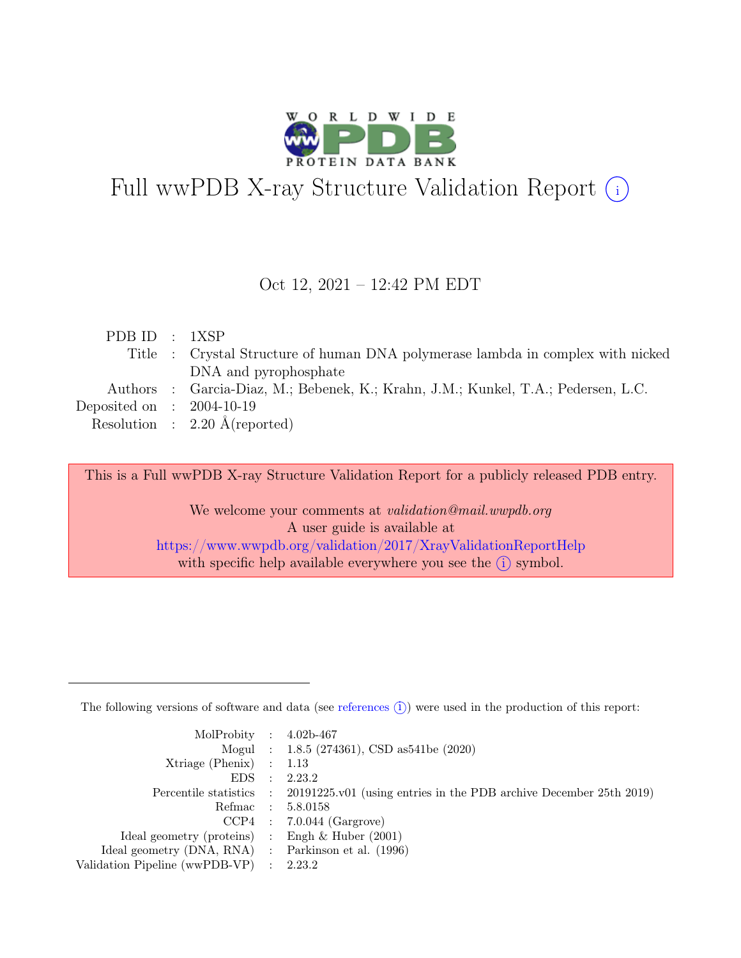

# Full wwPDB X-ray Structure Validation Report  $(i)$

### Oct 12, 2021 – 12:42 PM EDT

| PDB ID : 1XSP               |                                                                                   |
|-----------------------------|-----------------------------------------------------------------------------------|
|                             | Title : Crystal Structure of human DNA polymerase lambda in complex with nicked   |
|                             | DNA and pyrophosphate                                                             |
|                             | Authors : Garcia-Diaz, M.; Bebenek, K.; Krahn, J.M.; Kunkel, T.A.; Pedersen, L.C. |
| Deposited on : $2004-10-19$ |                                                                                   |
|                             | Resolution : $2.20 \text{ Å}$ (reported)                                          |
|                             |                                                                                   |

This is a Full wwPDB X-ray Structure Validation Report for a publicly released PDB entry.

We welcome your comments at *validation@mail.wwpdb.org* A user guide is available at <https://www.wwpdb.org/validation/2017/XrayValidationReportHelp> with specific help available everywhere you see the  $(i)$  symbol.

The following versions of software and data (see [references](https://www.wwpdb.org/validation/2017/XrayValidationReportHelp#references)  $(i)$ ) were used in the production of this report:

| MolProbity : $4.02b-467$                            |                                                                                            |
|-----------------------------------------------------|--------------------------------------------------------------------------------------------|
|                                                     | Mogul : 1.8.5 (274361), CSD as 541be (2020)                                                |
| $Xtriangle (Phenix)$ : 1.13                         |                                                                                            |
| $EDS$ :                                             | 2.23.2                                                                                     |
|                                                     | Percentile statistics : 20191225.v01 (using entries in the PDB archive December 25th 2019) |
| Refmac : 5.8.0158                                   |                                                                                            |
|                                                     | $CCP4$ : 7.0.044 (Gargrove)                                                                |
| Ideal geometry (proteins) : Engh $\&$ Huber (2001)  |                                                                                            |
| Ideal geometry (DNA, RNA) : Parkinson et al. (1996) |                                                                                            |
| Validation Pipeline (wwPDB-VP) : 2.23.2             |                                                                                            |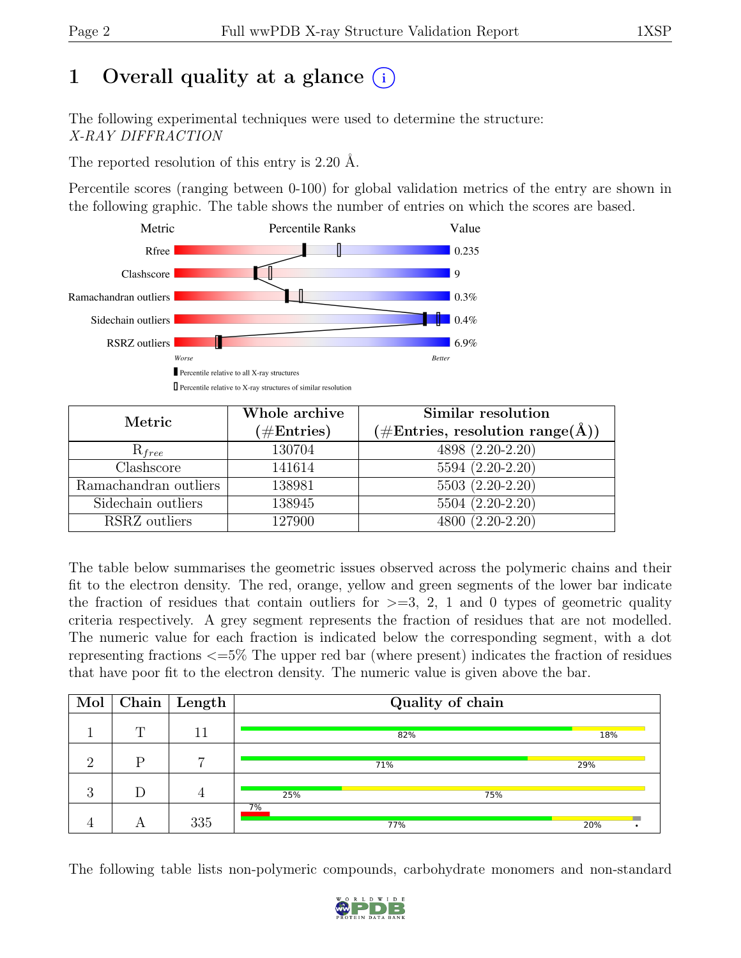# 1 Overall quality at a glance  $(i)$

The following experimental techniques were used to determine the structure: X-RAY DIFFRACTION

The reported resolution of this entry is 2.20 Å.

Percentile scores (ranging between 0-100) for global validation metrics of the entry are shown in the following graphic. The table shows the number of entries on which the scores are based.



| Metric                | Whole archive<br>$(\#\text{Entries})$ | Similar resolution<br>$(\# \text{Entries}, \text{ resolution } \text{range}(\AA))$ |  |  |  |  |
|-----------------------|---------------------------------------|------------------------------------------------------------------------------------|--|--|--|--|
| $R_{free}$            | 130704                                | 4898 (2.20-2.20)                                                                   |  |  |  |  |
| Clashscore            | 141614                                | 5594 (2.20-2.20)                                                                   |  |  |  |  |
| Ramachandran outliers | 138981                                | $5503(2.20-2.20)$                                                                  |  |  |  |  |
| Sidechain outliers    | 138945                                | 5504 (2.20-2.20)                                                                   |  |  |  |  |
| RSRZ outliers         | 127900                                | 4800 (2.20-2.20)                                                                   |  |  |  |  |

The table below summarises the geometric issues observed across the polymeric chains and their fit to the electron density. The red, orange, yellow and green segments of the lower bar indicate the fraction of residues that contain outliers for  $\geq$ =3, 2, 1 and 0 types of geometric quality criteria respectively. A grey segment represents the fraction of residues that are not modelled. The numeric value for each fraction is indicated below the corresponding segment, with a dot representing fractions <=5% The upper red bar (where present) indicates the fraction of residues that have poor fit to the electron density. The numeric value is given above the bar.

| Mol            |   | $\boxed{\text{Chain}}$ Length | Quality of chain |     |  |  |  |  |  |
|----------------|---|-------------------------------|------------------|-----|--|--|--|--|--|
|                | m | 11                            | 82%              | 18% |  |  |  |  |  |
| $\Omega$       | D | $\overline{ }$                | 71%              | 29% |  |  |  |  |  |
| റ<br>$\cdot$ ) |   |                               | 25%<br>75%       |     |  |  |  |  |  |
|                |   | 335                           | 7%<br>77%        | 20% |  |  |  |  |  |

The following table lists non-polymeric compounds, carbohydrate monomers and non-standard

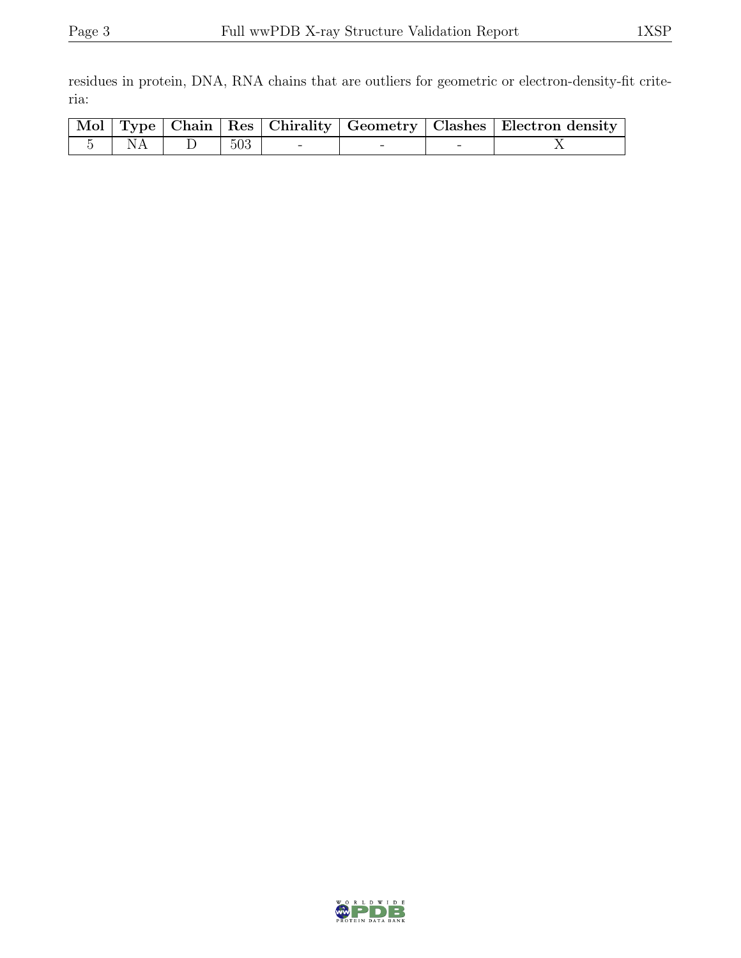residues in protein, DNA, RNA chains that are outliers for geometric or electron-density-fit criteria:

|        |     |  |   | Mol   Type   Chain   Res   Chirality   Geometry   Clashes   Electron density |
|--------|-----|--|---|------------------------------------------------------------------------------|
| 5   NA | 503 |  | - |                                                                              |

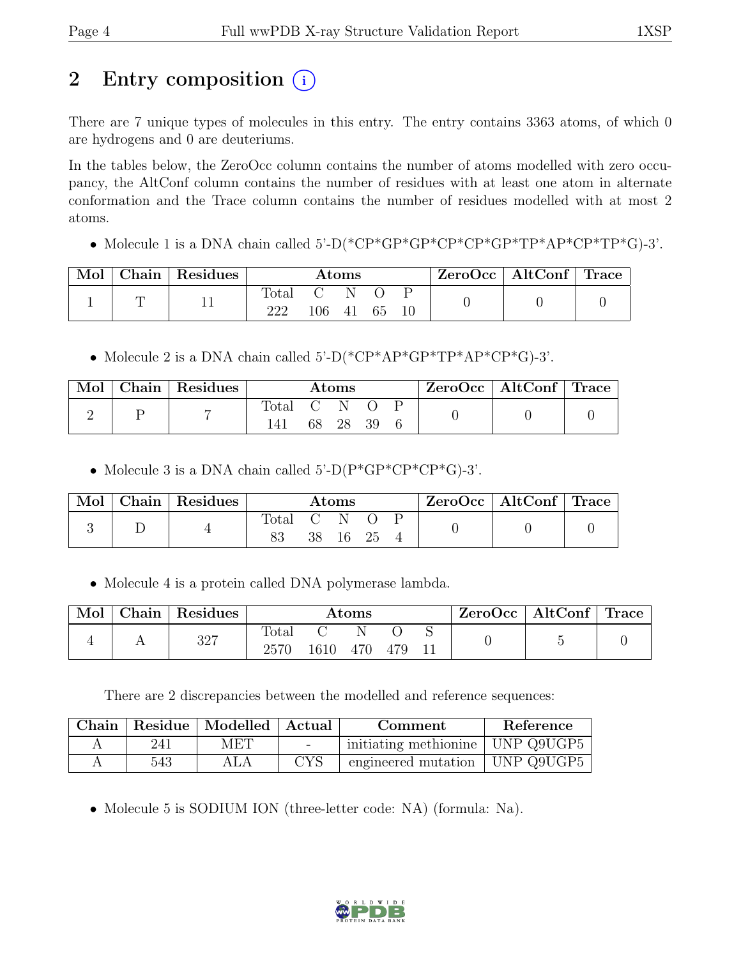# 2 Entry composition (i)

There are 7 unique types of molecules in this entry. The entry contains 3363 atoms, of which 0 are hydrogens and 0 are deuteriums.

In the tables below, the ZeroOcc column contains the number of atoms modelled with zero occupancy, the AltConf column contains the number of residues with at least one atom in alternate conformation and the Trace column contains the number of residues modelled with at most 2 atoms.

• Molecule 1 is a DNA chain called 5'-D(\*CP\*GP\*GP\*CP\*CP\*GP\*TP\*AP\*CP\*TP\*G)-3'.

| Mol | $\mid$ Chain $\mid$ Residues | $\rm{Atoms}$ |                |     |    |  | $\text{ZeroOcc}$   AltConf   Trace |  |
|-----|------------------------------|--------------|----------------|-----|----|--|------------------------------------|--|
|     |                              | Total<br>222 | $C = N$<br>106 | -41 | 65 |  |                                    |  |

• Molecule 2 is a DNA chain called 5'-D(\*CP\*AP\*GP\*TP\*AP\*CP\*G)-3'.

| Mol | Chain   Residues | $\rm{Atoms}$ |  |          |  | $\vert$ ZeroOcc $\vert$ AltConf $\vert$ Trace |  |
|-----|------------------|--------------|--|----------|--|-----------------------------------------------|--|
| ↵   | −                | Total C      |  |          |  |                                               |  |
|     |                  |              |  | 68 28 39 |  |                                               |  |

• Molecule 3 is a DNA chain called  $5^{\circ}$ -D(P\*GP\*CP\*G)-3'.

| Mol | Chain Residues | $\rm{Atoms}$ |    |     |      | $ZeroOcc \mid AltConf \mid Trace$ |  |
|-----|----------------|--------------|----|-----|------|-----------------------------------|--|
|     |                | Total<br>83  | 38 | 16. | - 25 |                                   |  |

• Molecule 4 is a protein called DNA polymerase lambda.

| Mol | Chain | Residues | Atoms         |      |     |     |  | ZeroOcc∣ | AltConf | $^+$ Trace |
|-----|-------|----------|---------------|------|-----|-----|--|----------|---------|------------|
|     |       | 327      | Total<br>2570 | 1610 | 470 | 479 |  |          |         |            |

There are 2 discrepancies between the modelled and reference sequences:

| Chain |     | Residue   Modelled   Actual |                          | Comment                            | Reference  |
|-------|-----|-----------------------------|--------------------------|------------------------------------|------------|
|       | 241 | MET                         | $\overline{\phantom{0}}$ | initiating methionine   UNP Q9UGP5 |            |
|       | 543 | ALA                         | <b>CYS</b>               | engineered mutation                | UNP Q9UGP5 |

• Molecule 5 is SODIUM ION (three-letter code: NA) (formula: Na).

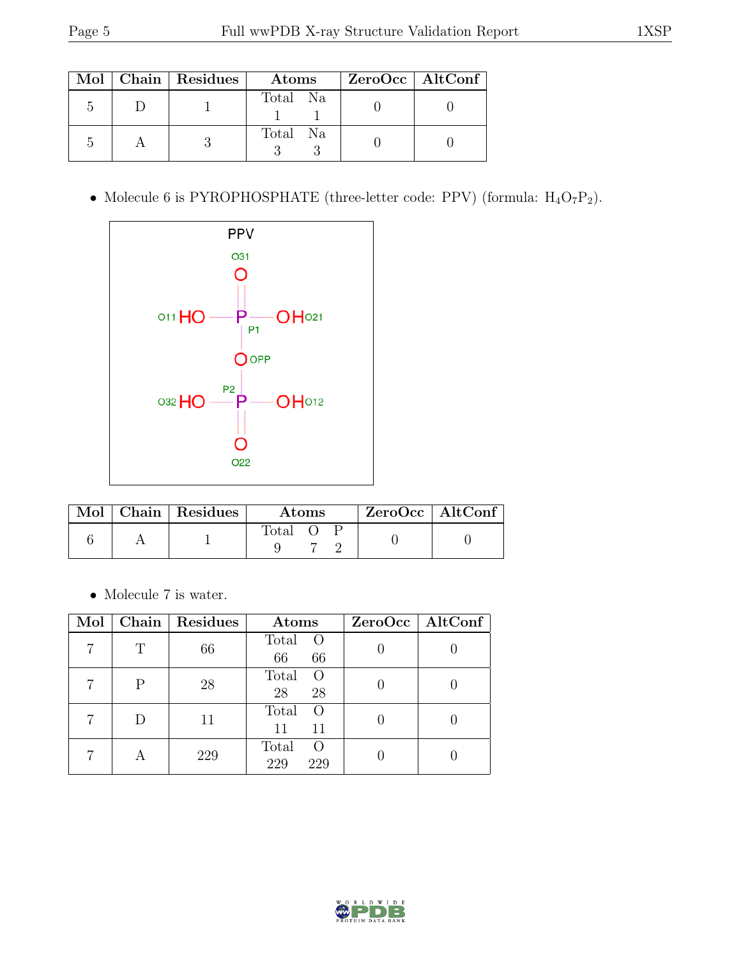|  | Mol   Chain   Residues | Atoms    | ZeroOcc   AltConf |
|--|------------------------|----------|-------------------|
|  |                        | Total Na |                   |
|  |                        | Total Na |                   |

• Molecule 6 is PYROPHOSPHATE (three-letter code: PPV) (formula:  $H_4O_7P_2$ ).



|  | $\text{Mol}$   Chain   Residues | <b>Atoms</b> |  |  | $ZeroOcc$   AltConf |  |
|--|---------------------------------|--------------|--|--|---------------------|--|
|  |                                 | Total O      |  |  |                     |  |

 $\bullet\,$  Molecule 7 is water.

| Mol |   | Chain   Residues | Atoms                                   | ZeroOcc   AltConf |
|-----|---|------------------|-----------------------------------------|-------------------|
|     | Ͳ | 66               | Total<br>$\overline{O}$<br>66<br>66     |                   |
|     | P | 28               | Total<br>$\Omega$<br>28<br>28           |                   |
|     |   | 11               | Total<br>$\Omega$<br>11<br>11           |                   |
|     |   | 229              | Total<br>$\left( \right)$<br>229<br>229 |                   |

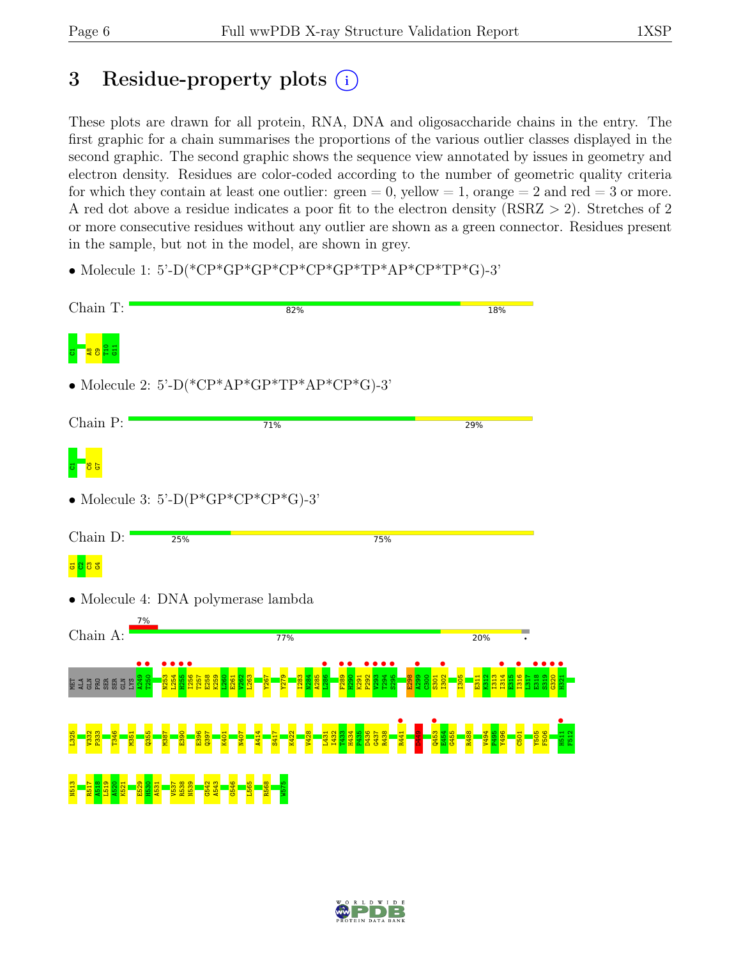# 3 Residue-property plots  $(i)$

These plots are drawn for all protein, RNA, DNA and oligosaccharide chains in the entry. The first graphic for a chain summarises the proportions of the various outlier classes displayed in the second graphic. The second graphic shows the sequence view annotated by issues in geometry and electron density. Residues are color-coded according to the number of geometric quality criteria for which they contain at least one outlier:  $green = 0$ , yellow  $= 1$ , orange  $= 2$  and red  $= 3$  or more. A red dot above a residue indicates a poor fit to the electron density (RSRZ > 2). Stretches of 2 or more consecutive residues without any outlier are shown as a green connector. Residues present in the sample, but not in the model, are shown in grey.

• Molecule 1: 5'-D(\*CP\*GP\*GP\*CP\*CP\*GP\*TP\*AP\*CP\*TP\*G)-3'



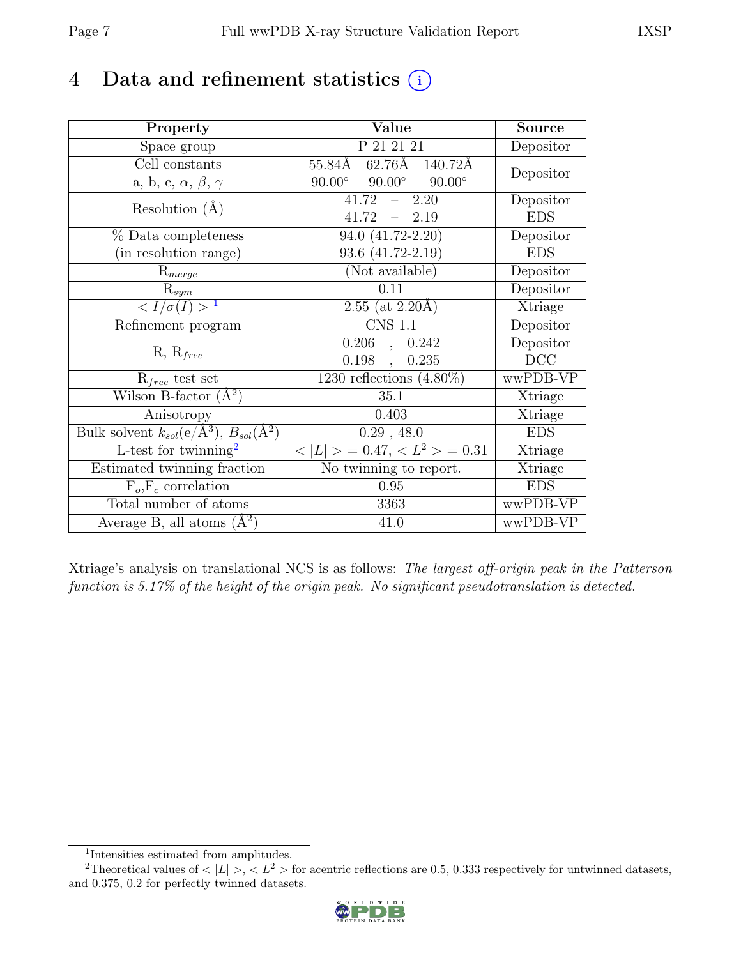# 4 Data and refinement statistics  $(i)$

| Property                                                             | Value                                           | <b>Source</b> |
|----------------------------------------------------------------------|-------------------------------------------------|---------------|
| Space group                                                          | P 21 21 21                                      | Depositor     |
| Cell constants                                                       | 62.76Å 140.72Å<br>$55.84\text{\AA}$             | Depositor     |
| a, b, c, $\alpha$ , $\beta$ , $\gamma$                               | $90.00^\circ$<br>$90.00^\circ$<br>$90.00^\circ$ |               |
| Resolution $(A)$                                                     | 2.20<br>41.72                                   | Depositor     |
|                                                                      | 41.72<br>$-2.19$                                | <b>EDS</b>    |
| % Data completeness                                                  | 94.0 (41.72-2.20)                               | Depositor     |
| (in resolution range)                                                | 93.6 (41.72-2.19)                               | <b>EDS</b>    |
| $R_{merge}$                                                          | (Not available)                                 | Depositor     |
| $R_{sym}$                                                            | 0.11                                            | Depositor     |
| $\langle I/\sigma(I) \rangle$ <sup>1</sup>                           | $2.55$ (at $2.20\text{\AA}$ )                   | Xtriage       |
| Refinement program                                                   | $\overline{\text{CNS} 1.1}$                     | Depositor     |
|                                                                      | 0.206<br>0.242<br>$\overline{\phantom{a}}$      | Depositor     |
| $R, R_{free}$                                                        | 0.198<br>0.235<br>$\ddot{\phantom{a}}$          | DCC           |
| $R_{free}$ test set                                                  | 1230 reflections $(4.80\%)$                     | wwPDB-VP      |
| Wilson B-factor $(A^2)$                                              | 35.1                                            | Xtriage       |
| Anisotropy                                                           | 0.403                                           | Xtriage       |
| Bulk solvent $k_{sol}(e/\mathring{A}^3)$ , $B_{sol}(\mathring{A}^2)$ | 0.29, 48.0                                      | <b>EDS</b>    |
| L-test for twinning <sup>2</sup>                                     | $< L >$ = 0.47, $< L2 >$ = 0.31                 | Xtriage       |
| Estimated twinning fraction                                          | No twinning to report.                          | Xtriage       |
| $\overline{F_o,F_c}$ correlation                                     | 0.95                                            | <b>EDS</b>    |
| Total number of atoms                                                | 3363                                            | wwPDB-VP      |
| Average B, all atoms $(A^2)$                                         | 41.0                                            | wwPDB-VP      |

Xtriage's analysis on translational NCS is as follows: The largest off-origin peak in the Patterson function is 5.17% of the height of the origin peak. No significant pseudotranslation is detected.

<sup>&</sup>lt;sup>2</sup>Theoretical values of  $\langle |L| \rangle$ ,  $\langle L^2 \rangle$  for acentric reflections are 0.5, 0.333 respectively for untwinned datasets, and 0.375, 0.2 for perfectly twinned datasets.



<span id="page-6-1"></span><span id="page-6-0"></span><sup>1</sup> Intensities estimated from amplitudes.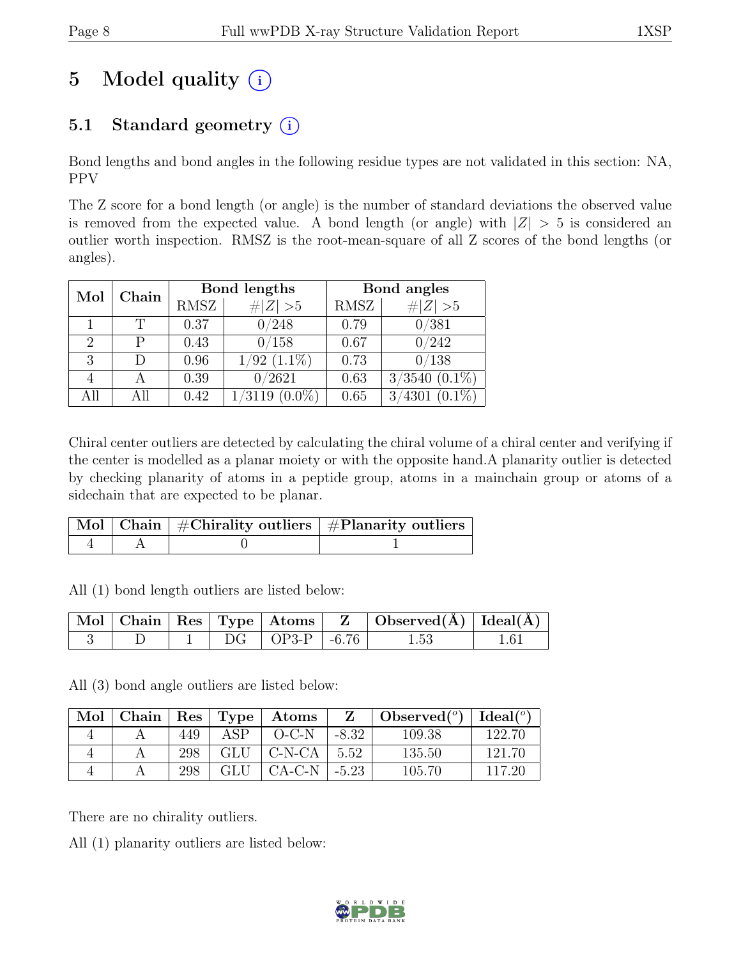# 5 Model quality  $(i)$

# 5.1 Standard geometry  $(i)$

Bond lengths and bond angles in the following residue types are not validated in this section: NA, PPV

The Z score for a bond length (or angle) is the number of standard deviations the observed value is removed from the expected value. A bond length (or angle) with  $|Z| > 5$  is considered an outlier worth inspection. RMSZ is the root-mean-square of all Z scores of the bond lengths (or angles).

| Mol                         | Chain |             | Bond lengths        | Bond angles |                     |  |
|-----------------------------|-------|-------------|---------------------|-------------|---------------------|--|
|                             |       | <b>RMSZ</b> | $\ Z\  > 5$         | <b>RMSZ</b> | $\# Z  > 5$         |  |
|                             |       | 0.37        | 0/248               | 0.79        | 0/381               |  |
| $\mathcal{D}_{\mathcal{A}}$ |       | 0.43        | 0/158               | 0.67        | 0/242               |  |
| 3                           |       | 0.96        | $1/92$ $(1.1\%)$    | 0.73        | 0/138               |  |
|                             |       | 0.39        | 0/2621              | 0.63        | 3/3540<br>$(0.1\%)$ |  |
| All                         |       | 0.42        | 1/3119<br>$(0.0\%)$ | 0.65        | 4301<br>$(0.1\%)$   |  |

Chiral center outliers are detected by calculating the chiral volume of a chiral center and verifying if the center is modelled as a planar moiety or with the opposite hand.A planarity outlier is detected by checking planarity of atoms in a peptide group, atoms in a mainchain group or atoms of a sidechain that are expected to be planar.

|  | $\mid$ Mol $\mid$ Chain $\mid$ #Chirality outliers $\mid$ #Planarity outliers $\mid$ |
|--|--------------------------------------------------------------------------------------|
|  |                                                                                      |

All (1) bond length outliers are listed below:

|  |  |                      | $\vert$ Mol $\vert$ Chain $\vert$ Res $\vert$ Type $\vert$ Atoms $\vert$ Z $\vert$ Observed(A) $\vert$ Ideal(A) |  |
|--|--|----------------------|-----------------------------------------------------------------------------------------------------------------|--|
|  |  | $DG$   OP3-P   -6.76 | $1.53\,$                                                                                                        |  |

All (3) bond angle outliers are listed below:

| Mol | Chain |     |            | $ $ Res $ $ Type $ $ Atoms |         | Observed $(^\circ)$ | $Ideal(^o)$ |
|-----|-------|-----|------------|----------------------------|---------|---------------------|-------------|
|     |       | 449 | ASP        | $O-C-N$                    | $-8.32$ | 109.38              | 122.70      |
|     |       | 298 | <b>GLU</b> | C-N-CA                     | 5.52    | 135.50              | 121.70      |
|     |       | 298 | GLU        | CA-C-N                     | $-5.23$ | 105.70              | 117.20      |

There are no chirality outliers.

All (1) planarity outliers are listed below:

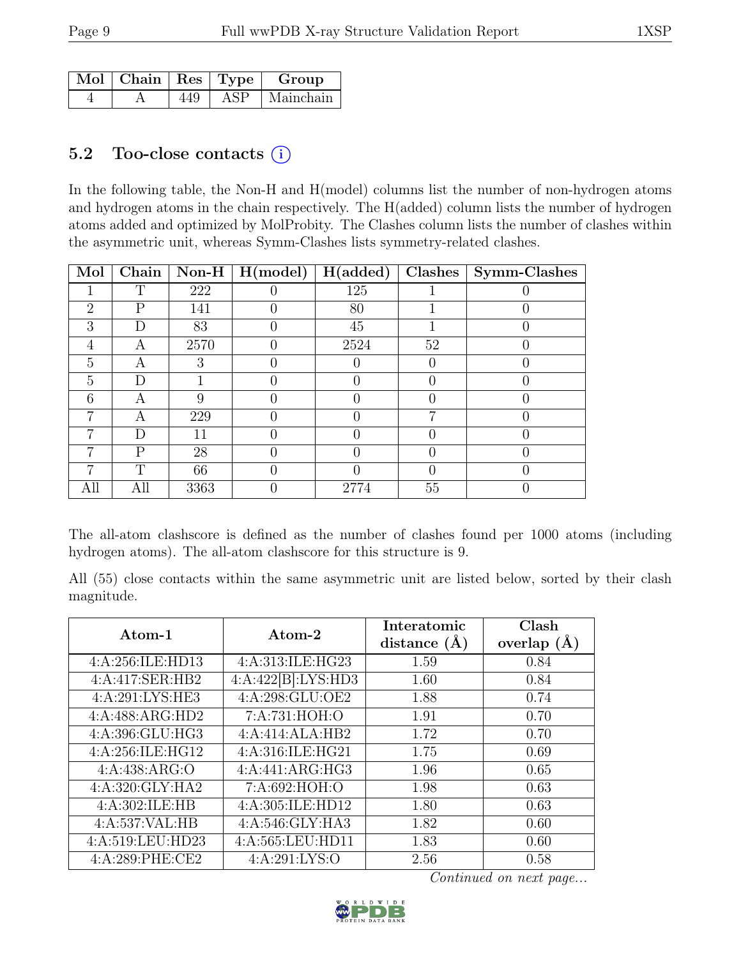| $\sqrt{Mol}$   Chain   Res   Type |     |     | Group     |
|-----------------------------------|-----|-----|-----------|
|                                   | 449 | ASP | Mainchain |

### 5.2 Too-close contacts  $(i)$

In the following table, the Non-H and H(model) columns list the number of non-hydrogen atoms and hydrogen atoms in the chain respectively. The H(added) column lists the number of hydrogen atoms added and optimized by MolProbity. The Clashes column lists the number of clashes within the asymmetric unit, whereas Symm-Clashes lists symmetry-related clashes.

| Mol            | Chain | Non-H | $\vert$ H(model) | H(added) | Clashes | Symm-Clashes |
|----------------|-------|-------|------------------|----------|---------|--------------|
|                | T     | 222   |                  | 125      |         |              |
| $\overline{2}$ | Ρ     | 141   |                  | 80       |         |              |
| 3              |       | 83    |                  | 45       |         |              |
| 4              | А     | 2570  |                  | 2524     | 52      |              |
| 5              | А     | 3     |                  |          |         |              |
| 5              | D     |       |                  |          |         |              |
| 6              | А     |       |                  |          |         |              |
| 7              | А     | 229   |                  |          | ⋻       |              |
|                | D     | 11    |                  |          |         |              |
| 7              | Ρ     | 28    |                  |          |         |              |
|                | T     | 66    |                  |          |         |              |
| All            | All   | 3363  |                  | 2774     | 55      |              |

The all-atom clashscore is defined as the number of clashes found per 1000 atoms (including hydrogen atoms). The all-atom clashscore for this structure is 9.

All (55) close contacts within the same asymmetric unit are listed below, sorted by their clash magnitude.

| Atom-1            | Atom-2             | Interatomic<br>distance $(A)$ | Clash<br>overlap $(A)$ |
|-------------------|--------------------|-------------------------------|------------------------|
| 4:A:256:ILE:HD13  | 4:A:313:ILE:HG23   | 1.59                          | 0.84                   |
| 4:A:417:SER:HB2   | 4:A:422[B]:LYS:HD3 | 1.60                          | 0.84                   |
| 4:A:291:LYS:HE3   | 4:A:298:GLU:OE2    | 1.88                          | 0.74                   |
| 4:A:488:ARG:HD2   | 7:A:731:HOH:O      | 1.91                          | 0.70                   |
| 4:A:396:GLU:HG3   | 4:A:414:ALA:HB2    | 1.72                          | 0.70                   |
| 4:A:256:ILE:HG12  | 4:A:316:ILE:HG21   | 1.75                          | 0.69                   |
| 4:A:438:ARG:O     | 4:A:441:ARG:HG3    | 1.96                          | 0.65                   |
| 4:A:320:GLY:HA2   | 7:A:692:HOH:O      | 1.98                          | 0.63                   |
| 4:A:302:ILE:HB    | 4:A:305:ILE:HD12   | 1.80                          | 0.63                   |
| 4:A:537:VAL:HB    | 4:A:546:GLY:HA3    | 1.82                          | 0.60                   |
| 4:A:519:LEU:HD23  | 4:A:565:LEU:HD11   | 1.83                          | 0.60                   |
| 4: A:289: PHE:CE2 | 4: A:291: LYS:O    | 2.56                          | 0.58                   |

Continued on next page...

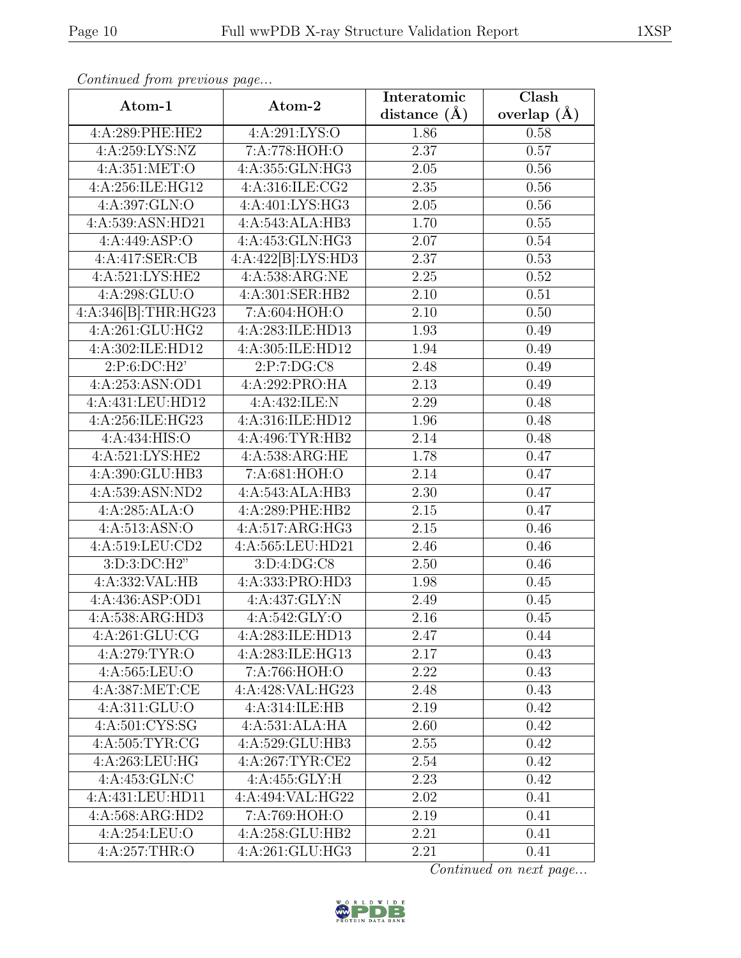| Atom-1              | Atom-2                      | Interatomic       | Clash         |
|---------------------|-----------------------------|-------------------|---------------|
|                     |                             | distance $(\AA)$  | overlap $(A)$ |
| 4:A:289:PHE:HE2     | 4:A:291:LYS:O               | 1.86              | 0.58          |
| 4:A:259:LYS:NZ      | 7:A:778:HOH:O               | 2.37              | 0.57          |
| 4:A:351:MET:O       | 4:A:355:GLN:HG3             | 2.05              | 0.56          |
| 4:A:256:ILE:HG12    | 4:A:316:ILE:CG2             | 2.35              | 0.56          |
| 4:A:397:GLN:O       | 4:A:401:LYS:HG3             | 2.05              | 0.56          |
| 4:A:539:ASN:HD21    | 4:A:543:ALA:HB3             | 1.70              | 0.55          |
| 4:A:449:ASP:O       | 4:A:453:GLN:HG3             | $2.07\,$          | $0.54\,$      |
| 4:A:417:SER:CB      | 4:A:422[B]:LYS:HD3          | 2.37              | 0.53          |
| 4:A:521:LYS:HE2     | 4:A:538:ARG:NE              | 2.25              | 0.52          |
| 4:A:298:GLU:O       | 4:A:301:SER:HB2             | 2.10              | 0.51          |
| 4:A:346[B]:THR:HG23 | 7:A:604:HOH:O               | 2.10              | 0.50          |
| 4:A:261:GLU:HG2     | 4:A:283:ILE:HD13            | 1.93              | 0.49          |
| 4:A:302:ILE:HD12    | 4:A:305:ILE:HD12            | 1.94              | 0.49          |
| 2:P:6:DC:H2'        | 2:P:7:DG:CS                 | 2.48              | 0.49          |
| 4:A:253:ASN:OD1     | 4:A:292:PRO:HA              | 2.13              | 0.49          |
| 4:A:431:LEU:HD12    | 4:A:432:ILE:N               | 2.29              | 0.48          |
| 4:A:256:ILE:HG23    | 4:A:316:ILE:HD12            | 1.96              | 0.48          |
| 4: A: 434: HIS: O   | 4:A:496:TYR:HB2             | 2.14              | 0.48          |
| 4:A:521:LYS:HE2     | 4:A:538:ARG:HE              | 1.78              | 0.47          |
| 4:A:390:GLU:HB3     | 7:A:681:HOH:O               | 2.14              | 0.47          |
| 4:A:539:ASN:ND2     | 4:A:543:ALA:HB3             | $\overline{2.30}$ | 0.47          |
| 4:A:285:ALA:O       | 4:A:289:PHE:HB2             | 2.15              | 0.47          |
| 4:A:513:ASN:O       | 4:A:517:ARG:HG3             | 2.15              | 0.46          |
| 4:A:519:LEU:CD2     | 4:A:565:LEU:HD21            | 2.46              | 0.46          |
| 3:D:3:DC:H2"        | $3: D: 4: D\overline{G:CS}$ | 2.50              | 0.46          |
| 4:A:332:VAL:HB      | 4:A:333:PRO:HD3             | 1.98              | 0.45          |
| 4:A:436:ASP:OD1     | 4:A:437:GLY:N               | 2.49              | 0.45          |
| 4:A:538:ARG:HD3     | 4: A:542: GLY:O             | 2.16              | 0.45          |
| 4:A:261:GLU:CG      | 4:A:283:ILE:HD13            | 2.47              | 0.44          |
| 4:A:279:TYR:O       | 4:A:283:ILE:HG13            | 2.17              | 0.43          |
| 4: A: 565: LEU: O   | 7:A:766:HOH:O               | 2.22              | 0.43          |
| 4:A:387:MET:CE      | 4:A:428:VAL:HG23            | 2.48              | 0.43          |
| 4: A:311: GLU:O     | 4:A:314:ILE:HB              | 2.19              | 0.42          |
| 4:A:501:CYS:SG      | 4:A:531:ALA:HA              | 2.60              | 0.42          |
| 4:A:505:TYR:CG      | 4:A:529:GLU:HB3             | 2.55              | 0.42          |
| 4:A:263:LEU:HG      | 4:A:267:TYR:CE2             | 2.54              | 0.42          |
| 4: A:453: GLN: C    | 4:A:455:GLY:H               | 2.23              | 0.42          |
| 4:A:431:LEU:HD11    | 4:A:494:VAL:HG22            | 2.02              | 0.41          |
| 4:A:568:ARG:HD2     | 7:A:769:HOH:O               | 2.19              | 0.41          |
| 4:A:254:LEU:O       | 4:A:258:GLU:HB2             | 2.21              | 0.41          |
| 4:A:257:THR:O       | 4:A:261:GLU:HG3             | 2.21              | 0.41          |

Continued from previous page...

Continued on next page...

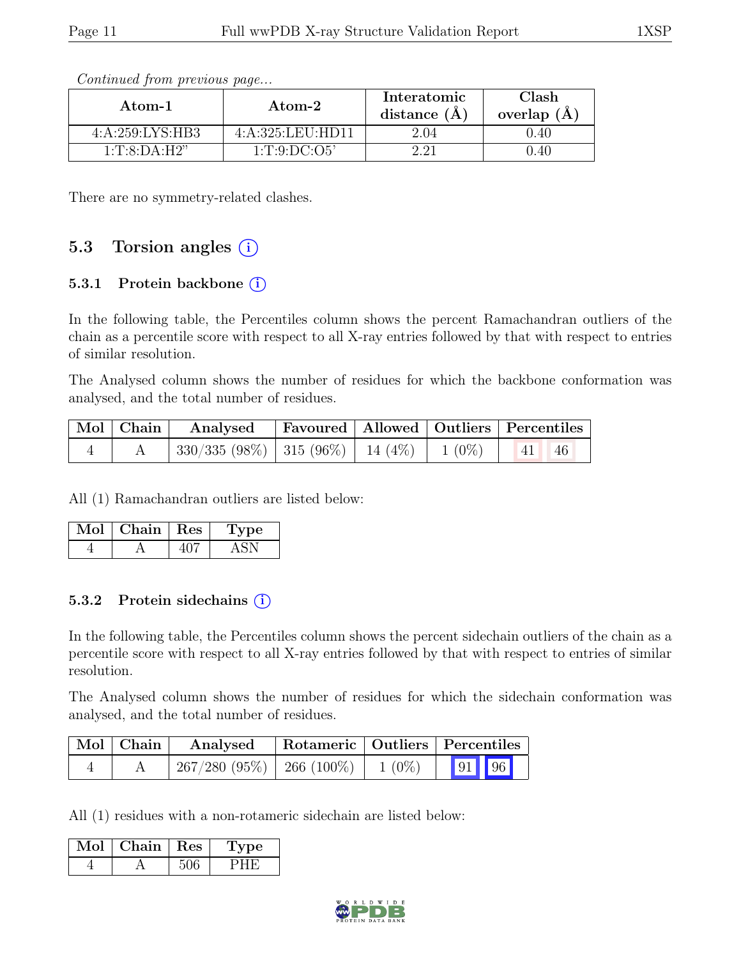| Atom-1                                  | Atom-2           | Interatomic<br>distance $(A)$ | Clash<br>overlap $(A)$ |  |
|-----------------------------------------|------------------|-------------------------------|------------------------|--|
| 4: A:259: LYS: HB3                      | 4:A:325:LEU:HD11 | 2.04                          | 0.40                   |  |
| $1 \cdot T \cdot 8 \cdot D A \cdot H2"$ | 1: T: 9: DC: O5' |                               | .40                    |  |

Continued from previous page...

There are no symmetry-related clashes.

### 5.3 Torsion angles (i)

#### 5.3.1 Protein backbone  $(i)$

In the following table, the Percentiles column shows the percent Ramachandran outliers of the chain as a percentile score with respect to all X-ray entries followed by that with respect to entries of similar resolution.

The Analysed column shows the number of residues for which the backbone conformation was analysed, and the total number of residues.

|  | Mol Chain Analysed Favoured Allowed Outliers Percentiles  |  |  |
|--|-----------------------------------------------------------|--|--|
|  | $330/335 (98\%)$   315 (96%)   14 (4%)   1 (0%)   41   46 |  |  |

All (1) Ramachandran outliers are listed below:

| $Mol$   Chain   Res | 'Type |
|---------------------|-------|
|                     |       |

#### 5.3.2 Protein sidechains  $(i)$

In the following table, the Percentiles column shows the percent sidechain outliers of the chain as a percentile score with respect to all X-ray entries followed by that with respect to entries of similar resolution.

The Analysed column shows the number of residues for which the sidechain conformation was analysed, and the total number of residues.

| Mol   Chain | Analysed                                 | Rotameric   Outliers   Percentiles |  |       |  |
|-------------|------------------------------------------|------------------------------------|--|-------|--|
|             | $267/280$ (95\%)   266 (100\%)   1 (0\%) |                                    |  | 91 96 |  |

All (1) residues with a non-rotameric sidechain are listed below:

| Mol | Chain | $\vert$ Res | <b>Type</b> |
|-----|-------|-------------|-------------|
|     |       |             |             |

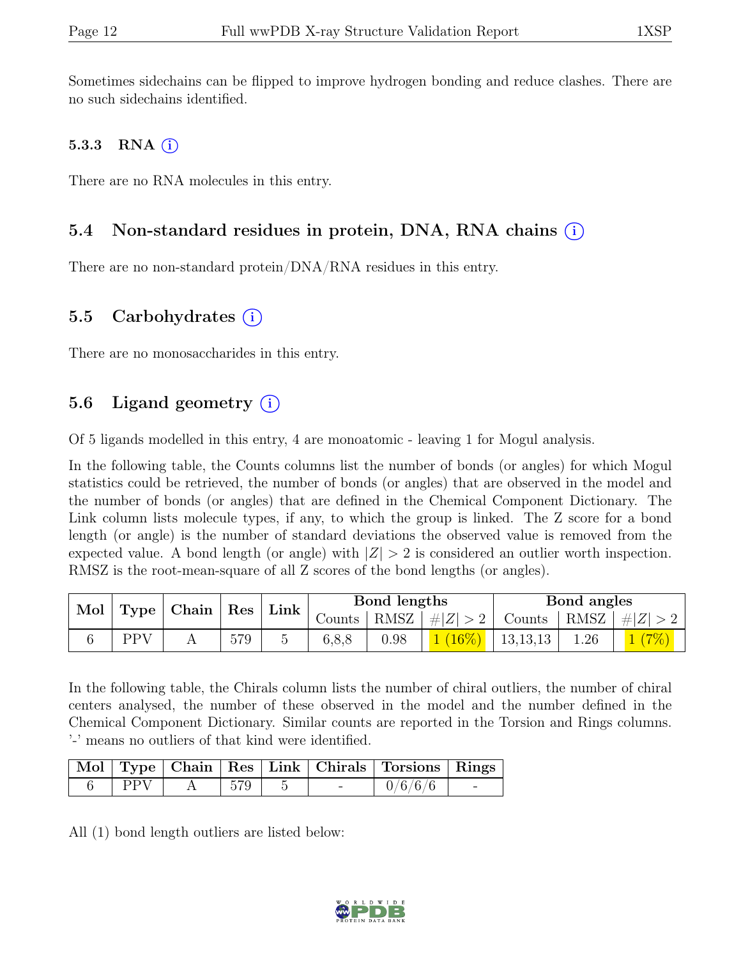Sometimes sidechains can be flipped to improve hydrogen bonding and reduce clashes. There are no such sidechains identified.

### 5.3.3 RNA  $(i)$

There are no RNA molecules in this entry.

# 5.4 Non-standard residues in protein, DNA, RNA chains (i)

There are no non-standard protein/DNA/RNA residues in this entry.

### 5.5 Carbohydrates  $(i)$

There are no monosaccharides in this entry.

# 5.6 Ligand geometry  $(i)$

Of 5 ligands modelled in this entry, 4 are monoatomic - leaving 1 for Mogul analysis.

In the following table, the Counts columns list the number of bonds (or angles) for which Mogul statistics could be retrieved, the number of bonds (or angles) that are observed in the model and the number of bonds (or angles) that are defined in the Chemical Component Dictionary. The Link column lists molecule types, if any, to which the group is linked. The Z score for a bond length (or angle) is the number of standard deviations the observed value is removed from the expected value. A bond length (or angle) with  $|Z| > 2$  is considered an outlier worth inspection. RMSZ is the root-mean-square of all Z scores of the bond lengths (or angles).

| Mol<br><b>Type</b> |     | $\mid$ Chain $\mid$ |     |  | Res    | ${\rm Link}$ |                 | Bond lengths |                 |  | Bond angles |  |
|--------------------|-----|---------------------|-----|--|--------|--------------|-----------------|--------------|-----------------|--|-------------|--|
|                    |     |                     |     |  | Counts |              | RMSZ $ #Z  > 2$ | Counts       | $ RMSZ  \#  Z $ |  |             |  |
|                    | PPV |                     | 579 |  | 6,8,8  | 0.98         | $(16\%)$        | 13, 13, 13   | 1.26            |  |             |  |

In the following table, the Chirals column lists the number of chiral outliers, the number of chiral centers analysed, the number of these observed in the model and the number defined in the Chemical Component Dictionary. Similar counts are reported in the Torsion and Rings columns. '-' means no outliers of that kind were identified.

|            |     |        | Mol   Type   Chain   Res   Link   Chirals   Torsions   Rings |  |
|------------|-----|--------|--------------------------------------------------------------|--|
| <b>PPV</b> | 579 | $\sim$ | 0/6/6/6                                                      |  |

All (1) bond length outliers are listed below:

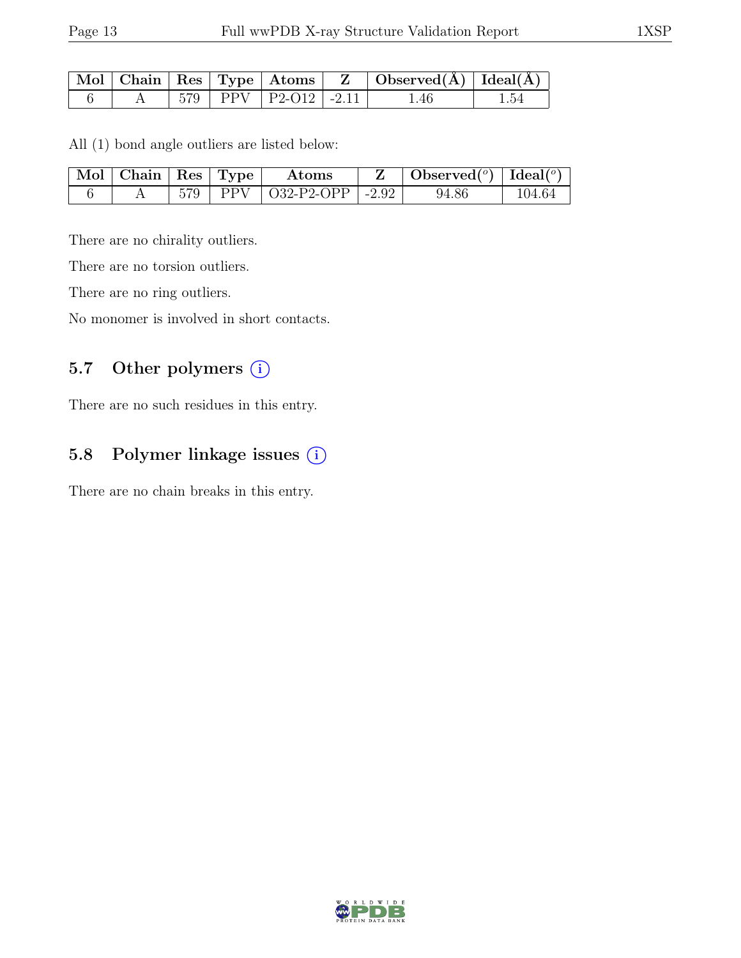|  |  |                              | $\mid$ Mol $\mid$ Chain $\mid$ Res $\mid$ Type $\mid$ Atoms $\mid$ $\mid$ Z $\mid$ Observed(A) $\mid$ Ideal(A) $\mid$ |  |
|--|--|------------------------------|-----------------------------------------------------------------------------------------------------------------------|--|
|  |  | $579$   PPV   P2-O12   -2.11 | 1.46                                                                                                                  |  |

All (1) bond angle outliers are listed below:

| $\mid$ Mol $\mid$ Chain $\mid$ Res $\mid$ Type $\mid$ |  | Atoms                            | $\mid$ Observed $({}^{\circ})$ $\mid$ Ideal $({}^{\circ})$ |        |
|-------------------------------------------------------|--|----------------------------------|------------------------------------------------------------|--------|
|                                                       |  | $579$   PPV   O32-P2-OPP   -2.92 | 94.86                                                      | 104.64 |

There are no chirality outliers.

There are no torsion outliers.

There are no ring outliers.

No monomer is involved in short contacts.

# 5.7 Other polymers (i)

There are no such residues in this entry.

# 5.8 Polymer linkage issues (i)

There are no chain breaks in this entry.

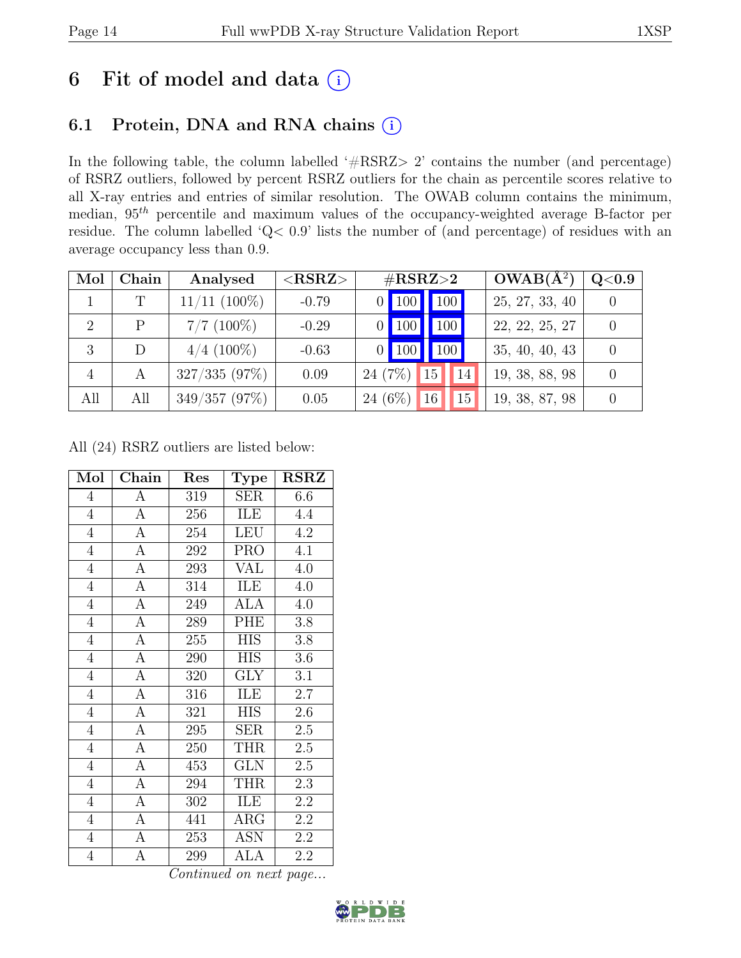# 6 Fit of model and data  $(i)$

# 6.1 Protein, DNA and RNA chains (i)

In the following table, the column labelled ' $\#\text{RSRZ}>2$ ' contains the number (and percentage) of RSRZ outliers, followed by percent RSRZ outliers for the chain as percentile scores relative to all X-ray entries and entries of similar resolution. The OWAB column contains the minimum, median, 95th percentile and maximum values of the occupancy-weighted average B-factor per residue. The column labelled 'Q< 0.9' lists the number of (and percentage) of residues with an average occupancy less than 0.9.

| Mol            | Chain | Analysed          | ${ <\hspace{-1.5pt}{\mathrm{RSRZ}} \hspace{-1.5pt}>}$ | $\#\text{RSRZ}{>}2$              | $OWAB(A^2)$    | Q <sub>0.9</sub> |
|----------------|-------|-------------------|-------------------------------------------------------|----------------------------------|----------------|------------------|
|                | T     | $11/11$ $(100\%)$ | $-0.79$                                               | 100 <br>$0$   100                | 25, 27, 33, 40 |                  |
| 2              | Ρ     | $7/7$ (100%)      | $-0.29$                                               | 100<br>$\blacksquare$ 100        | 22, 22, 25, 27 |                  |
| 3              |       | $4/4$ (100%)      | $-0.63$                                               | $\vert$ 100 $\vert$<br>$0$   100 | 35, 40, 40, 43 |                  |
| $\overline{4}$ | A     | 327/335(97%)      | 0.09                                                  | 24(7%)<br>15<br>14               | 19, 38, 88, 98 |                  |
| All            | All   | 349/357(97%)      | 0.05                                                  | 24 $(6\%)$<br>16<br>15           | 19, 38, 87, 98 |                  |

All (24) RSRZ outliers are listed below:

| Mol            | Chain            | Res | <b>Type</b> | <b>RSRZ</b> |
|----------------|------------------|-----|-------------|-------------|
| $\overline{4}$ | $\overline{A}$   | 319 | <b>SER</b>  | 6.6         |
| $\overline{4}$ | $\overline{A}$   | 256 | ILE         | 4.4         |
| $\overline{4}$ | $\overline{A}$   | 254 | <b>LEU</b>  | 4.2         |
| $\overline{4}$ | $\overline{A}$   | 292 | <b>PRO</b>  | 4.1         |
| $\overline{4}$ | $\overline{A}$   | 293 | VAL         | 4.0         |
| $\overline{4}$ | $\overline{A}$   | 314 | ILE         | 4.0         |
| $\overline{4}$ | $\overline{A}$   | 249 | <b>ALA</b>  | 4.0         |
| $\overline{4}$ | $\overline{A}$   | 289 | PHE         | 3.8         |
| $\overline{4}$ | $\overline{A}$   | 255 | <b>HIS</b>  | 3.8         |
| $\overline{4}$ | $\overline{A}$   | 290 | <b>HIS</b>  | $3.6\,$     |
| $\overline{4}$ | $\overline{A}$   | 320 | <b>GLY</b>  | 3.1         |
| $\overline{4}$ | $\overline{A}$   | 316 | ILE         | $2.7\,$     |
| $\overline{4}$ | $\overline{A}$   | 321 | <b>HIS</b>  | 2.6         |
| $\overline{4}$ | A                | 295 | <b>SER</b>  | 2.5         |
| $\overline{4}$ | $\overline{A}$   | 250 | <b>THR</b>  | 2.5         |
| $\overline{4}$ | $\overline{A}$   | 453 | <b>GLN</b>  | $2.5\,$     |
| $\overline{4}$ | $\overline{A}$   | 294 | <b>THR</b>  | $2.3\,$     |
| $\overline{4}$ | $\boldsymbol{A}$ | 302 | ILE         | 2.2         |
| $\overline{4}$ | $\overline{A}$   | 441 | ARG         | 2.2         |
| $\overline{4}$ | $\overline{A}$   | 253 | <b>ASN</b>  | 2.2         |
| $\overline{4}$ | А                | 299 | ALA         | 2.2         |

Continued on next page...